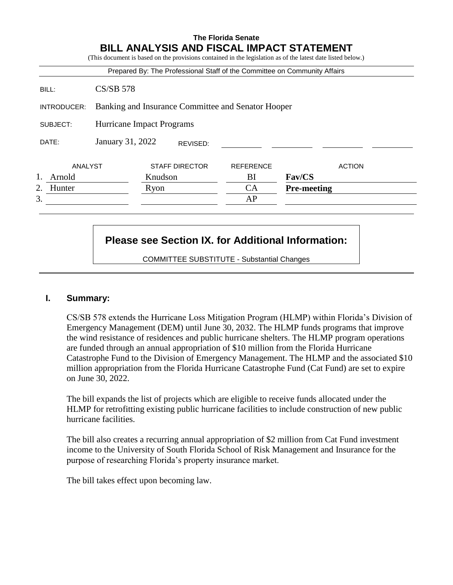# **The Florida Senate BILL ANALYSIS AND FISCAL IMPACT STATEMENT**

(This document is based on the provisions contained in the legislation as of the latest date listed below.)

|              |                                                    |         |                       | Prepared By: The Professional Staff of the Committee on Community Affairs |                    |               |
|--------------|----------------------------------------------------|---------|-----------------------|---------------------------------------------------------------------------|--------------------|---------------|
| BILL:        | $CS/SB$ 578                                        |         |                       |                                                                           |                    |               |
| INTRODUCER:  | Banking and Insurance Committee and Senator Hooper |         |                       |                                                                           |                    |               |
| SUBJECT:     | Hurricane Impact Programs                          |         |                       |                                                                           |                    |               |
| DATE:        | January 31, 2022                                   |         | REVISED:              |                                                                           |                    |               |
| ANALYST      |                                                    |         | <b>STAFF DIRECTOR</b> | <b>REFERENCE</b>                                                          |                    | <b>ACTION</b> |
| Arnold       |                                                    | Knudson |                       | BI                                                                        | Fav/CS             |               |
| 2.<br>Hunter |                                                    | Ryon    |                       | CA                                                                        | <b>Pre-meeting</b> |               |
| 3.           |                                                    |         |                       | AP                                                                        |                    |               |

# **Please see Section IX. for Additional Information:**

COMMITTEE SUBSTITUTE - Substantial Changes

# **I. Summary:**

CS/SB 578 extends the Hurricane Loss Mitigation Program (HLMP) within Florida's Division of Emergency Management (DEM) until June 30, 2032. The HLMP funds programs that improve the wind resistance of residences and public hurricane shelters. The HLMP program operations are funded through an annual appropriation of \$10 million from the Florida Hurricane Catastrophe Fund to the Division of Emergency Management. The HLMP and the associated \$10 million appropriation from the Florida Hurricane Catastrophe Fund (Cat Fund) are set to expire on June 30, 2022.

The bill expands the list of projects which are eligible to receive funds allocated under the HLMP for retrofitting existing public hurricane facilities to include construction of new public hurricane facilities.

The bill also creates a recurring annual appropriation of \$2 million from Cat Fund investment income to the University of South Florida School of Risk Management and Insurance for the purpose of researching Florida's property insurance market.

The bill takes effect upon becoming law.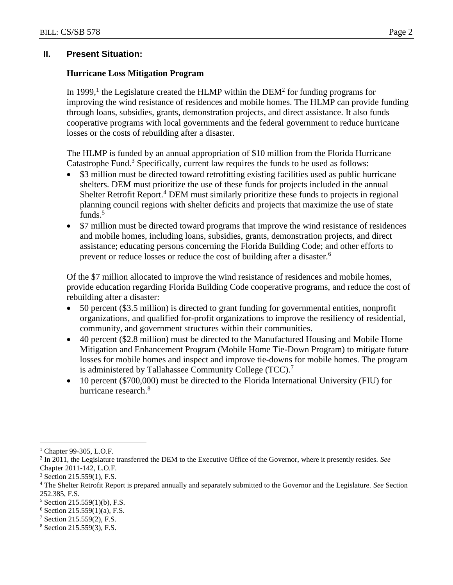# **II. Present Situation:**

# **Hurricane Loss Mitigation Program**

In 1999,<sup>1</sup> the Legislature created the HLMP within the DEM<sup>2</sup> for funding programs for improving the wind resistance of residences and mobile homes. The HLMP can provide funding through loans, subsidies, grants, demonstration projects, and direct assistance. It also funds cooperative programs with local governments and the federal government to reduce hurricane losses or the costs of rebuilding after a disaster.

The HLMP is funded by an annual appropriation of \$10 million from the Florida Hurricane Catastrophe Fund.<sup>3</sup> Specifically, current law requires the funds to be used as follows:

- \$3 million must be directed toward retrofitting existing facilities used as public hurricane shelters. DEM must prioritize the use of these funds for projects included in the annual Shelter Retrofit Report.<sup>4</sup> DEM must similarly prioritize these funds to projects in regional planning council regions with shelter deficits and projects that maximize the use of state funds.<sup>5</sup>
- \$7 million must be directed toward programs that improve the wind resistance of residences and mobile homes, including loans, subsidies, grants, demonstration projects, and direct assistance; educating persons concerning the Florida Building Code; and other efforts to prevent or reduce losses or reduce the cost of building after a disaster.<sup>6</sup>

Of the \$7 million allocated to improve the wind resistance of residences and mobile homes, provide education regarding Florida Building Code cooperative programs, and reduce the cost of rebuilding after a disaster:

- 50 percent (\$3.5 million) is directed to grant funding for governmental entities, nonprofit organizations, and qualified for-profit organizations to improve the resiliency of residential, community, and government structures within their communities.
- 40 percent (\$2.8 million) must be directed to the Manufactured Housing and Mobile Home Mitigation and Enhancement Program (Mobile Home Tie-Down Program) to mitigate future losses for mobile homes and inspect and improve tie-downs for mobile homes. The program is administered by Tallahassee Community College (TCC).<sup>7</sup>
- 10 percent (\$700,000) must be directed to the Florida International University (FIU) for hurricane research.<sup>8</sup>

 $\overline{a}$ 

<sup>7</sup> Section 215.559(2), F.S.

Chapter 99-305, L.O.F.

<sup>2</sup> In 2011, the Legislature transferred the DEM to the Executive Office of the Governor, where it presently resides. *See* Chapter 2011-142, L.O.F.

 $3$  Section 215.559(1), F.S.

<sup>4</sup> The Shelter Retrofit Report is prepared annually and separately submitted to the Governor and the Legislature. *See* Section 252.385, F.S.

<sup>5</sup> Section 215.559(1)(b), F.S.

 $6$  Section 215.559(1)(a), F.S.

<sup>8</sup> Section 215.559(3), F.S.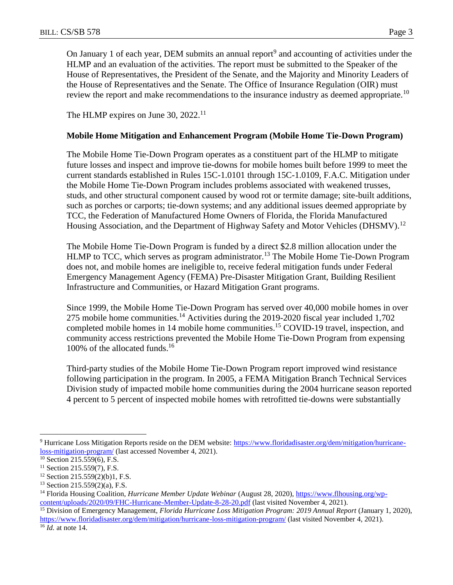On January 1 of each year, DEM submits an annual report<sup>9</sup> and accounting of activities under the HLMP and an evaluation of the activities. The report must be submitted to the Speaker of the House of Representatives, the President of the Senate, and the Majority and Minority Leaders of the House of Representatives and the Senate. The Office of Insurance Regulation (OIR) must review the report and make recommendations to the insurance industry as deemed appropriate.<sup>10</sup>

The HLMP expires on June 30, 2022.<sup>11</sup>

# **Mobile Home Mitigation and Enhancement Program (Mobile Home Tie-Down Program)**

The Mobile Home Tie-Down Program operates as a constituent part of the HLMP to mitigate future losses and inspect and improve tie-downs for mobile homes built before 1999 to meet the current standards established in Rules 15C-1.0101 through 15C-1.0109, F.A.C. Mitigation under the Mobile Home Tie-Down Program includes problems associated with weakened trusses, studs, and other structural component caused by wood rot or termite damage; site-built additions, such as porches or carports; tie-down systems; and any additional issues deemed appropriate by TCC, the Federation of Manufactured Home Owners of Florida, the Florida Manufactured Housing Association, and the Department of Highway Safety and Motor Vehicles (DHSMV).<sup>12</sup>

The Mobile Home Tie-Down Program is funded by a direct \$2.8 million allocation under the HLMP to TCC, which serves as program administrator.<sup>13</sup> The Mobile Home Tie-Down Program does not, and mobile homes are ineligible to, receive federal mitigation funds under Federal Emergency Management Agency (FEMA) Pre-Disaster Mitigation Grant, Building Resilient Infrastructure and Communities, or Hazard Mitigation Grant programs.

Since 1999, the Mobile Home Tie-Down Program has served over 40,000 mobile homes in over 275 mobile home communities.<sup>14</sup> Activities during the 2019-2020 fiscal year included 1,702 completed mobile homes in 14 mobile home communities.<sup>15</sup> COVID-19 travel, inspection, and community access restrictions prevented the Mobile Home Tie-Down Program from expensing 100% of the allocated funds.<sup>16</sup>

Third-party studies of the Mobile Home Tie-Down Program report improved wind resistance following participation in the program. In 2005, a FEMA Mitigation Branch Technical Services Division study of impacted mobile home communities during the 2004 hurricane season reported 4 percent to 5 percent of inspected mobile homes with retrofitted tie-downs were substantially

<sup>&</sup>lt;sup>9</sup> Hurricane Loss Mitigation Reports reside on the DEM website: [https://www.floridadisaster.org/dem/mitigation/hurricane](https://www.floridadisaster.org/dem/mitigation/hurricane-loss-mitigation-program/)[loss-mitigation-program/](https://www.floridadisaster.org/dem/mitigation/hurricane-loss-mitigation-program/) (last accessed November 4, 2021).

 $\frac{10}{10}$  Section 215.559(6), F.S.

 $11$  Section 215.559(7), F.S.

<sup>12</sup> Section 215.559(2)(b)1, F.S.

 $13$  Section 215.559(2)(a), F.S.

<sup>14</sup> Florida Housing Coalition*, Hurricane Member Update Webinar* (August 28, 2020), [https://www.flhousing.org/wp](https://www.flhousing.org/wp-content/uploads/2020/09/FHC-Hurricane-Member-Update-8-28-20.pdf)[content/uploads/2020/09/FHC-Hurricane-Member-Update-8-28-20.pdf](https://www.flhousing.org/wp-content/uploads/2020/09/FHC-Hurricane-Member-Update-8-28-20.pdf) (last visited November 4, 2021).

<sup>15</sup> Division of Emergency Management, *Florida Hurricane Loss Mitigation Program: 2019 Annual Report* (January 1, 2020), <https://www.floridadisaster.org/dem/mitigation/hurricane-loss-mitigation-program/> (last visited November 4, 2021).

<sup>16</sup> *Id.* at note 14.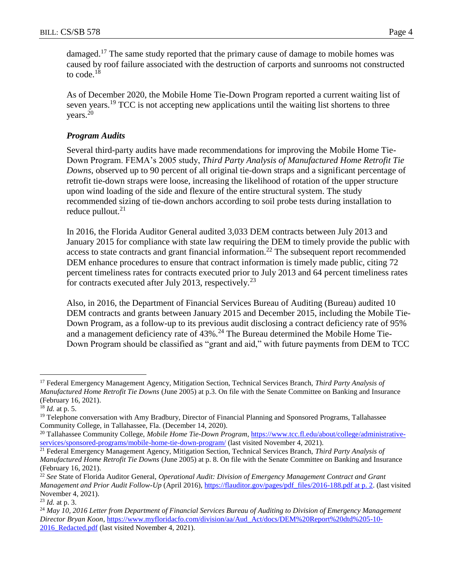damaged.<sup>17</sup> The same study reported that the primary cause of damage to mobile homes was caused by roof failure associated with the destruction of carports and sunrooms not constructed to code.<sup>18</sup>

As of December 2020, the Mobile Home Tie-Down Program reported a current waiting list of seven years.<sup>19</sup> TCC is not accepting new applications until the waiting list shortens to three years.<sup>20</sup>

# *Program Audits*

Several third-party audits have made recommendations for improving the Mobile Home Tie-Down Program. FEMA's 2005 study, *Third Party Analysis of Manufactured Home Retrofit Tie Downs*, observed up to 90 percent of all original tie-down straps and a significant percentage of retrofit tie-down straps were loose, increasing the likelihood of rotation of the upper structure upon wind loading of the side and flexure of the entire structural system. The study recommended sizing of tie-down anchors according to soil probe tests during installation to reduce pullout. $21$ 

In 2016, the Florida Auditor General audited 3,033 DEM contracts between July 2013 and January 2015 for compliance with state law requiring the DEM to timely provide the public with access to state contracts and grant financial information.<sup>22</sup> The subsequent report recommended DEM enhance procedures to ensure that contract information is timely made public, citing 72 percent timeliness rates for contracts executed prior to July 2013 and 64 percent timeliness rates for contracts executed after July 2013, respectively.<sup>23</sup>

Also, in 2016, the Department of Financial Services Bureau of Auditing (Bureau) audited 10 DEM contracts and grants between January 2015 and December 2015, including the Mobile Tie-Down Program, as a follow-up to its previous audit disclosing a contract deficiency rate of 95% and a management deficiency rate of  $43\%$ .<sup>24</sup> The Bureau determined the Mobile Home Tie-Down Program should be classified as "grant and aid," with future payments from DEM to TCC

<sup>17</sup> Federal Emergency Management Agency, Mitigation Section, Technical Services Branch, *Third Party Analysis of Manufactured Home Retrofit Tie Downs* (June 2005) at p.3. On file with the Senate Committee on Banking and Insurance (February 16, 2021).

<sup>18</sup> *Id.* at p. 5.

<sup>&</sup>lt;sup>19</sup> Telephone conversation with Amy Bradbury, Director of Financial Planning and Sponsored Programs, Tallahassee Community College, in Tallahassee, Fla. (December 14, 2020).

<sup>&</sup>lt;sup>20</sup> Tallahassee Community College, *Mobile Home Tie-Down Program*, [https://www.tcc.fl.edu/about/college/administrative](https://www.tcc.fl.edu/about/college/administrative-services/sponsored-programs/mobile-home-tie-down-program/)[services/sponsored-programs/mobile-home-tie-down-program/](https://www.tcc.fl.edu/about/college/administrative-services/sponsored-programs/mobile-home-tie-down-program/) (last visited November 4, 2021).

<sup>21</sup> Federal Emergency Management Agency, Mitigation Section, Technical Services Branch, *Third Party Analysis of Manufactured Home Retrofit Tie Downs* (June 2005) at p. 8. On file with the Senate Committee on Banking and Insurance (February 16, 2021).

<sup>22</sup> *See* State of Florida Auditor General, *Operational Audit: Division of Emergency Management Contract and Grant Management and Prior Audit Follow-Up* (April 2016), [https://flauditor.gov/pages/pdf\\_files/2016-188.pdf at p. 2.](https://flauditor.gov/pages/pdf_files/2016-188.pdf%20at%20p.%202) (last visited November 4, 2021).

<sup>23</sup> *Id.* at p. 3.

<sup>24</sup> *May 10, 2016 Letter from Department of Financial Services Bureau of Auditing to Division of Emergency Management Director Bryan Koon*[, https://www.myfloridacfo.com/division/aa/Aud\\_Act/docs/DEM%20Report%20dtd%205-10-](https://www.myfloridacfo.com/division/aa/Aud_Act/docs/DEM%20Report%20dtd%205-10-2016_Redacted.pdf) 2016 Redacted.pdf (last visited November 4, 2021).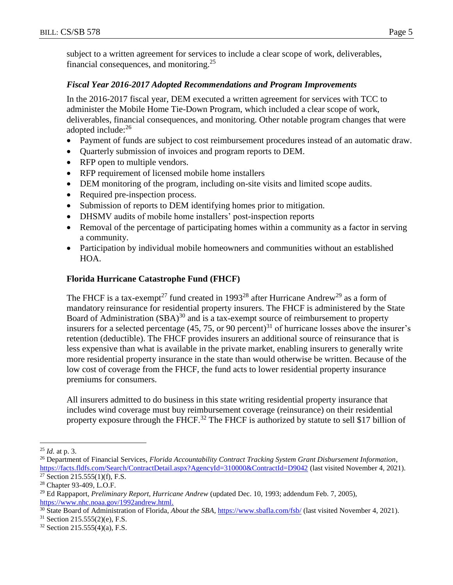subject to a written agreement for services to include a clear scope of work, deliverables, financial consequences, and monitoring.<sup>25</sup>

## *Fiscal Year 2016-2017 Adopted Recommendations and Program Improvements*

In the 2016-2017 fiscal year, DEM executed a written agreement for services with TCC to administer the Mobile Home Tie-Down Program, which included a clear scope of work, deliverables, financial consequences, and monitoring. Other notable program changes that were adopted include:<sup>26</sup>

- Payment of funds are subject to cost reimbursement procedures instead of an automatic draw.
- Quarterly submission of invoices and program reports to DEM.
- RFP open to multiple vendors.
- RFP requirement of licensed mobile home installers
- DEM monitoring of the program, including on-site visits and limited scope audits.
- Required pre-inspection process.
- Submission of reports to DEM identifying homes prior to mitigation.
- DHSMV audits of mobile home installers' post-inspection reports
- Removal of the percentage of participating homes within a community as a factor in serving a community.
- Participation by individual mobile homeowners and communities without an established HOA.

# **Florida Hurricane Catastrophe Fund (FHCF)**

The FHCF is a tax-exempt<sup>27</sup> fund created in 1993<sup>28</sup> after Hurricane Andrew<sup>29</sup> as a form of mandatory reinsurance for residential property insurers. The FHCF is administered by the State Board of Administration (SBA)<sup>30</sup> and is a tax-exempt source of reimbursement to property insurers for a selected percentage (45, 75, or 90 percent)<sup>31</sup> of hurricane losses above the insurer's retention (deductible). The FHCF provides insurers an additional source of reinsurance that is less expensive than what is available in the private market, enabling insurers to generally write more residential property insurance in the state than would otherwise be written. Because of the low cost of coverage from the FHCF, the fund acts to lower residential property insurance premiums for consumers.

All insurers admitted to do business in this state writing residential property insurance that includes wind coverage must buy reimbursement coverage (reinsurance) on their residential property exposure through the FHCF.<sup>32</sup> The FHCF is authorized by statute to sell \$17 billion of

<sup>25</sup> *Id.* at p. 3.

<sup>26</sup> Department of Financial Services, *Florida Accountability Contract Tracking System Grant Disbursement Information*, <https://facts.fldfs.com/Search/ContractDetail.aspx?AgencyId=310000&ContractId=D9042> (last visited November 4, 2021).  $27$  Section 215.555(1)(f), F.S.

<sup>28</sup> Chapter 93-409, L.O.F.

<sup>29</sup> Ed Rappaport, *Preliminary Report, Hurricane Andrew* (updated Dec. 10, 1993; addendum Feb. 7, 2005), [https://www.nhc.noaa.gov/1992andrew.html.](https://www.nhc.noaa.gov/1992andrew.html)

<sup>30</sup> State Board of Administration of Florida, *About the SBA*,<https://www.sbafla.com/fsb/> (last visited November 4, 2021).

<sup>31</sup> Section 215.555(2)(e), F.S.

 $32$  Section 215.555(4)(a), F.S.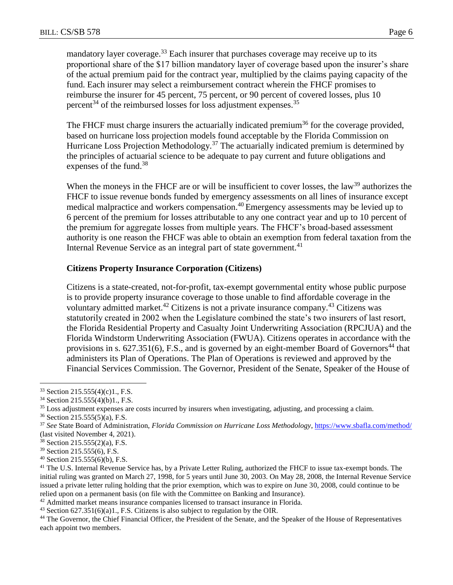mandatory layer coverage.<sup>33</sup> Each insurer that purchases coverage may receive up to its proportional share of the \$17 billion mandatory layer of coverage based upon the insurer's share of the actual premium paid for the contract year, multiplied by the claims paying capacity of the fund. Each insurer may select a reimbursement contract wherein the FHCF promises to reimburse the insurer for 45 percent, 75 percent, or 90 percent of covered losses, plus 10 percent<sup>34</sup> of the reimbursed losses for loss adjustment expenses.<sup>35</sup>

The FHCF must charge insurers the actuarially indicated premium<sup>36</sup> for the coverage provided, based on hurricane loss projection models found acceptable by the Florida Commission on Hurricane Loss Projection Methodology.<sup>37</sup> The actuarially indicated premium is determined by the principles of actuarial science to be adequate to pay current and future obligations and expenses of the fund.<sup>38</sup>

When the moneys in the FHCF are or will be insufficient to cover losses, the law<sup>39</sup> authorizes the FHCF to issue revenue bonds funded by emergency assessments on all lines of insurance except medical malpractice and workers compensation.<sup>40</sup> Emergency assessments may be levied up to 6 percent of the premium for losses attributable to any one contract year and up to 10 percent of the premium for aggregate losses from multiple years. The FHCF's broad-based assessment authority is one reason the FHCF was able to obtain an exemption from federal taxation from the Internal Revenue Service as an integral part of state government.<sup>41</sup>

#### **Citizens Property Insurance Corporation (Citizens)**

Citizens is a state-created, not-for-profit, tax-exempt governmental entity whose public purpose is to provide property insurance coverage to those unable to find affordable coverage in the voluntary admitted market.<sup>42</sup> Citizens is not a private insurance company.<sup>43</sup> Citizens was statutorily created in 2002 when the Legislature combined the state's two insurers of last resort, the Florida Residential Property and Casualty Joint Underwriting Association (RPCJUA) and the Florida Windstorm Underwriting Association (FWUA). Citizens operates in accordance with the provisions in s.  $627.351(6)$ , F.S., and is governed by an eight-member Board of Governors<sup>44</sup> that administers its Plan of Operations. The Plan of Operations is reviewed and approved by the Financial Services Commission. The Governor, President of the Senate, Speaker of the House of

<sup>33</sup> Section 215.555(4)(c)1., F.S.

<sup>34</sup> Section 215.555(4)(b)1., F.S.

<sup>&</sup>lt;sup>35</sup> Loss adjustment expenses are costs incurred by insurers when investigating, adjusting, and processing a claim.

<sup>36</sup> Section 215.555(5)(a), F.S.

<sup>37</sup> *See* State Board of Administration, *Florida Commission on Hurricane Loss Methodology*[, https://www.sbafla.com/method/](https://www.sbafla.com/method/) (last visited November 4, 2021).

<sup>38</sup> Section 215.555(2)(a), F.S.

<sup>39</sup> Section 215.555(6), F.S.

<sup>40</sup> Section 215.555(6)(b), F.S.

<sup>&</sup>lt;sup>41</sup> The U.S. Internal Revenue Service has, by a Private Letter Ruling, authorized the FHCF to issue tax-exempt bonds. The initial ruling was granted on March 27, 1998, for 5 years until June 30, 2003. On May 28, 2008, the Internal Revenue Service issued a private letter ruling holding that the prior exemption, which was to expire on June 30, 2008, could continue to be relied upon on a permanent basis (on file with the Committee on Banking and Insurance).

<sup>&</sup>lt;sup>42</sup> Admitted market means insurance companies licensed to transact insurance in Florida.

<sup>43</sup> Section 627.351(6)(a)1., F.S. Citizens is also subject to regulation by the OIR.

<sup>&</sup>lt;sup>44</sup> The Governor, the Chief Financial Officer, the President of the Senate, and the Speaker of the House of Representatives each appoint two members.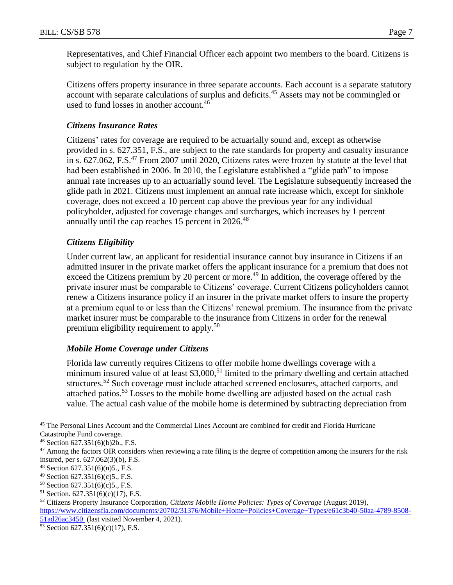Representatives, and Chief Financial Officer each appoint two members to the board. Citizens is subject to regulation by the OIR.

Citizens offers property insurance in three separate accounts. Each account is a separate statutory account with separate calculations of surplus and deficits.<sup>45</sup> Assets may not be commingled or used to fund losses in another account.<sup>46</sup>

## *Citizens Insurance Rates*

Citizens' rates for coverage are required to be actuarially sound and, except as otherwise provided in s. 627.351, F.S., are subject to the rate standards for property and casualty insurance in s. 627.062, F.S.<sup>47</sup> From 2007 until 2020, Citizens rates were frozen by statute at the level that had been established in 2006. In 2010, the Legislature established a "glide path" to impose annual rate increases up to an actuarially sound level. The Legislature subsequently increased the glide path in 2021. Citizens must implement an annual rate increase which, except for sinkhole coverage, does not exceed a 10 percent cap above the previous year for any individual policyholder, adjusted for coverage changes and surcharges, which increases by 1 percent annually until the cap reaches 15 percent in 2026.<sup>48</sup>

## *Citizens Eligibility*

Under current law, an applicant for residential insurance cannot buy insurance in Citizens if an admitted insurer in the private market offers the applicant insurance for a premium that does not exceed the Citizens premium by 20 percent or more.<sup>49</sup> In addition, the coverage offered by the private insurer must be comparable to Citizens' coverage. Current Citizens policyholders cannot renew a Citizens insurance policy if an insurer in the private market offers to insure the property at a premium equal to or less than the Citizens' renewal premium. The insurance from the private market insurer must be comparable to the insurance from Citizens in order for the renewal premium eligibility requirement to apply.<sup>50</sup>

#### *Mobile Home Coverage under Citizens*

Florida law currently requires Citizens to offer mobile home dwellings coverage with a minimum insured value of at least  $$3,000$ ,<sup>51</sup> limited to the primary dwelling and certain attached structures.<sup>52</sup> Such coverage must include attached screened enclosures, attached carports, and attached patios.<sup>53</sup> Losses to the mobile home dwelling are adjusted based on the actual cash value. The actual cash value of the mobile home is determined by subtracting depreciation from

<sup>45</sup> The Personal Lines Account and the Commercial Lines Account are combined for credit and Florida Hurricane Catastrophe Fund coverage.

<sup>46</sup> Section 627.351(6)(b)2b., F.S.

 $47$  Among the factors OIR considers when reviewing a rate filing is the degree of competition among the insurers for the risk insured, per s. 627.062(3)(b), F.S.

<sup>48</sup> Section 627.351(6)(n)5., F.S.

<sup>49</sup> Section 627.351(6)(c)5., F.S.

 $50$  Section 627.351(6)(c)5., F.S.

 $51$  Section. 627.351(6)(c)(17), F.S.

<sup>52</sup> Citizens Property Insurance Corporation, *Citizens Mobile Home Policies: Types of Coverage* (August 2019), [https://www.citizensfla.com/documents/20702/31376/Mobile+Home+Policies+Coverage+Types/e61c3b40-50aa-4789-8508-](https://www.citizensfla.com/documents/20702/31376/Mobile+Home+Policies+Coverage+Types/e61c3b40-50aa-4789-8508-51ad26ac3450)

[<sup>51</sup>ad26ac3450](https://www.citizensfla.com/documents/20702/31376/Mobile+Home+Policies+Coverage+Types/e61c3b40-50aa-4789-8508-51ad26ac3450) (last visited November 4, 2021).

<sup>53</sup> Section 627.351(6)(c)(17), F.S.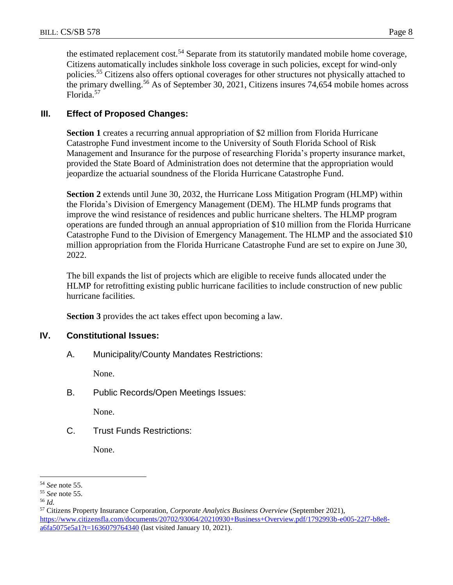the estimated replacement cost.<sup>54</sup> Separate from its statutorily mandated mobile home coverage, Citizens automatically includes sinkhole loss coverage in such policies, except for wind-only policies.<sup>55</sup> Citizens also offers optional coverages for other structures not physically attached to the primary dwelling.<sup>56</sup> As of September 30, 2021, Citizens insures 74,654 mobile homes across Florida.<sup>57</sup>

# **III. Effect of Proposed Changes:**

**Section 1** creates a recurring annual appropriation of \$2 million from Florida Hurricane Catastrophe Fund investment income to the University of South Florida School of Risk Management and Insurance for the purpose of researching Florida's property insurance market, provided the State Board of Administration does not determine that the appropriation would jeopardize the actuarial soundness of the Florida Hurricane Catastrophe Fund.

**Section 2** extends until June 30, 2032, the Hurricane Loss Mitigation Program (HLMP) within the Florida's Division of Emergency Management (DEM). The HLMP funds programs that improve the wind resistance of residences and public hurricane shelters. The HLMP program operations are funded through an annual appropriation of \$10 million from the Florida Hurricane Catastrophe Fund to the Division of Emergency Management. The HLMP and the associated \$10 million appropriation from the Florida Hurricane Catastrophe Fund are set to expire on June 30, 2022.

The bill expands the list of projects which are eligible to receive funds allocated under the HLMP for retrofitting existing public hurricane facilities to include construction of new public hurricane facilities.

**Section 3** provides the act takes effect upon becoming a law.

#### **IV. Constitutional Issues:**

A. Municipality/County Mandates Restrictions:

None.

B. Public Records/Open Meetings Issues:

None.

C. Trust Funds Restrictions:

None.

<sup>54</sup> *See* note 55.

<sup>55</sup> *See* note 55.

<sup>56</sup> *Id.*

<sup>57</sup> Citizens Property Insurance Corporation, *Corporate Analytics Business Overview* (September 2021), [https://www.citizensfla.com/documents/20702/93064/20210930+Business+Overview.pdf/1792993b-e005-22f7-b8e8](https://www.citizensfla.com/documents/20702/93064/20210930+Business+Overview.pdf/1792993b-e005-22f7-b8e8-a6fa5075e5a1?t=1636079764340) [a6fa5075e5a1?t=1636079764340](https://www.citizensfla.com/documents/20702/93064/20210930+Business+Overview.pdf/1792993b-e005-22f7-b8e8-a6fa5075e5a1?t=1636079764340) (last visited January 10, 2021).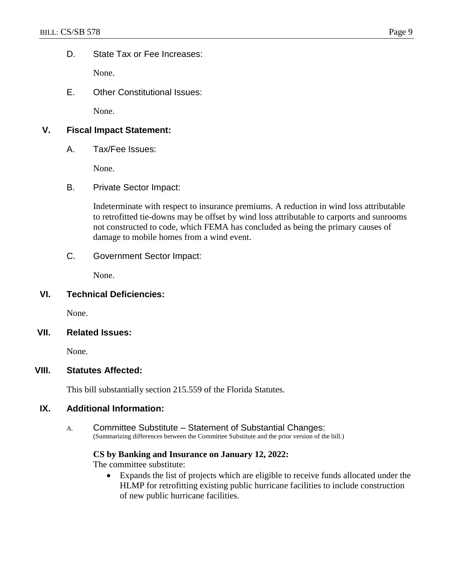D. State Tax or Fee Increases:

None.

E. Other Constitutional Issues:

None.

# **V. Fiscal Impact Statement:**

A. Tax/Fee Issues:

None.

B. Private Sector Impact:

Indeterminate with respect to insurance premiums. A reduction in wind loss attributable to retrofitted tie-downs may be offset by wind loss attributable to carports and sunrooms not constructed to code, which FEMA has concluded as being the primary causes of damage to mobile homes from a wind event.

C. Government Sector Impact:

None.

#### **VI. Technical Deficiencies:**

None.

#### **VII. Related Issues:**

None.

# **VIII. Statutes Affected:**

This bill substantially section 215.559 of the Florida Statutes.

#### **IX. Additional Information:**

A. Committee Substitute – Statement of Substantial Changes: (Summarizing differences between the Committee Substitute and the prior version of the bill.)

#### **CS by Banking and Insurance on January 12, 2022:**

The committee substitute:

 Expands the list of projects which are eligible to receive funds allocated under the HLMP for retrofitting existing public hurricane facilities to include construction of new public hurricane facilities.